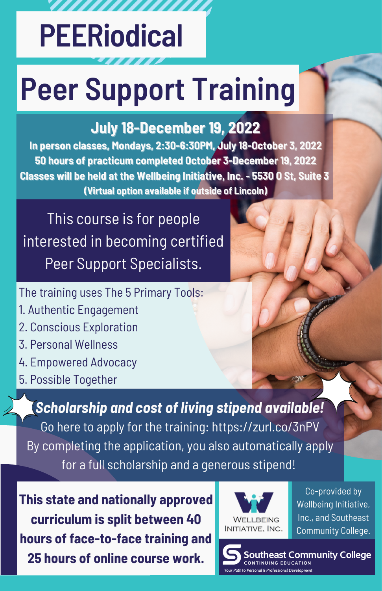## **PEERiodical**

,,,,,,,,,,

# **Peer Support Training**

#### **July 18-December 19, 2022**

**In person classes, Mondays, 2:30-6:30PM, July 18-October 3, 2022 50 hours of practicum completed October 3-December 19, 2022 Classes will be held at the Wellbeing Initiative, Inc. - 5530 O St, Suite 3 (Virtual option available if outside of Lincoln)**

This course is for people interested in becoming certified Peer Support Specialists.

The training uses The 5 Primary Tools:

- 1. Authentic Engagement
- 2. Conscious Exploration
- 3. Personal Wellness
- 4. Empowered Advocacy
- 5. Possible Together

*Scholarship and cost of living stipend available!* Go here to apply for the training: [https://zurl.co/3nPV](https://survey.zohopublic.com/zs/18CstK) By completing the application, you also automatically apply for a full scholarship and a generous stipend!

**This state and nationally approved curriculum is split between 40 hours of face-to-face training and 25 hours of online course work.**



Co-provided by Wellbeing Initiative, Inc., and Southeast Community College.

outheast Community College CONTINUING EDUCATION Path to Personal & Professional Developmen